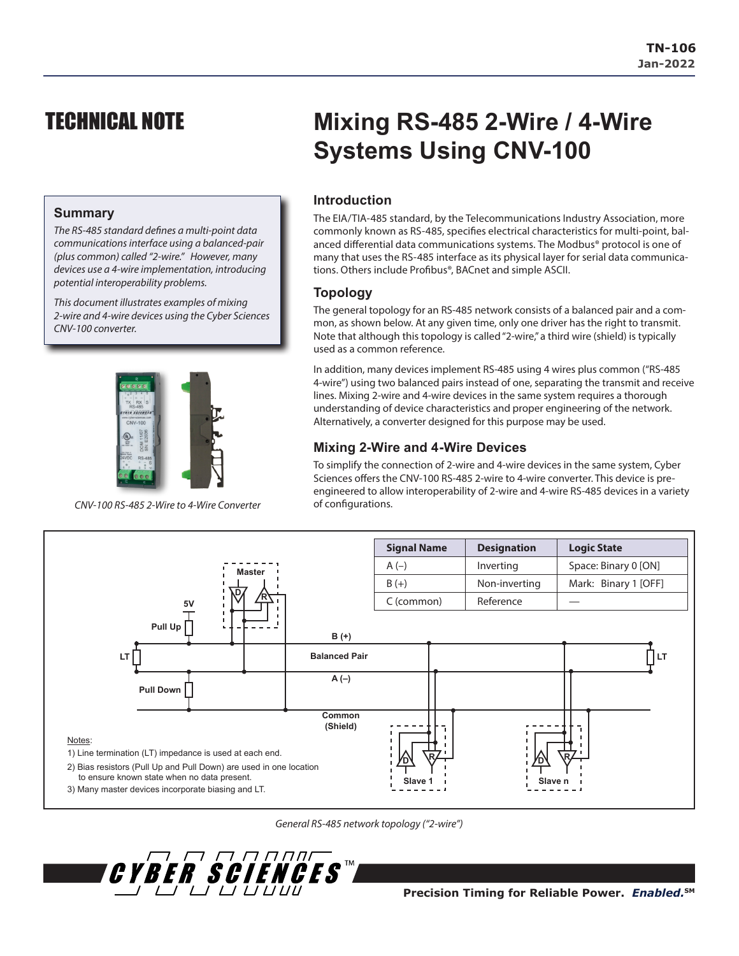## TECHNICAL NOTE

#### **Summary**

*The RS-485 standard defines a multi-point data communications interface using a balanced-pair (plus common) called "2-wire." However, many devices use a 4-wire implementation, introducing potential interoperability problems.*

*This document illustrates examples of mixing 2-wire and 4-wire devices using the Cyber Sciences CNV-100 converter.*



*CNV-100 RS-485 2-Wire to 4-Wire Converter*

# **Mixing RS-485 2-Wire / 4-Wire Systems Using CNV-100**

## **Introduction**

The EIA/TIA-485 standard, by the Telecommunications Industry Association, more commonly known as RS-485, specifies electrical characteristics for multi-point, balanced differential data communications systems. The Modbus® protocol is one of many that uses the RS-485 interface as its physical layer for serial data communications. Others include Profibus®, BACnet and simple ASCII.

## **Topology**

The general topology for an RS-485 network consists of a balanced pair and a common, as shown below. At any given time, only one driver has the right to transmit. Note that although this topology is called "2-wire," a third wire (shield) is typically used as a common reference.

In addition, many devices implement RS-485 using 4 wires plus common ("RS-485 4-wire") using two balanced pairs instead of one, separating the transmit and receive lines. Mixing 2-wire and 4-wire devices in the same system requires a thorough understanding of device characteristics and proper engineering of the network. Alternatively, a converter designed for this purpose may be used.

### **Mixing 2-Wire and 4-Wire Devices**

To simplify the connection of 2-wire and 4-wire devices in the same system, Cyber Sciences offers the CNV-100 RS-485 2-wire to 4-wire converter. This device is preengineered to allow interoperability of 2-wire and 4-wire RS-485 devices in a variety of configurations.



*General RS-485 network topology ("2-wire")*

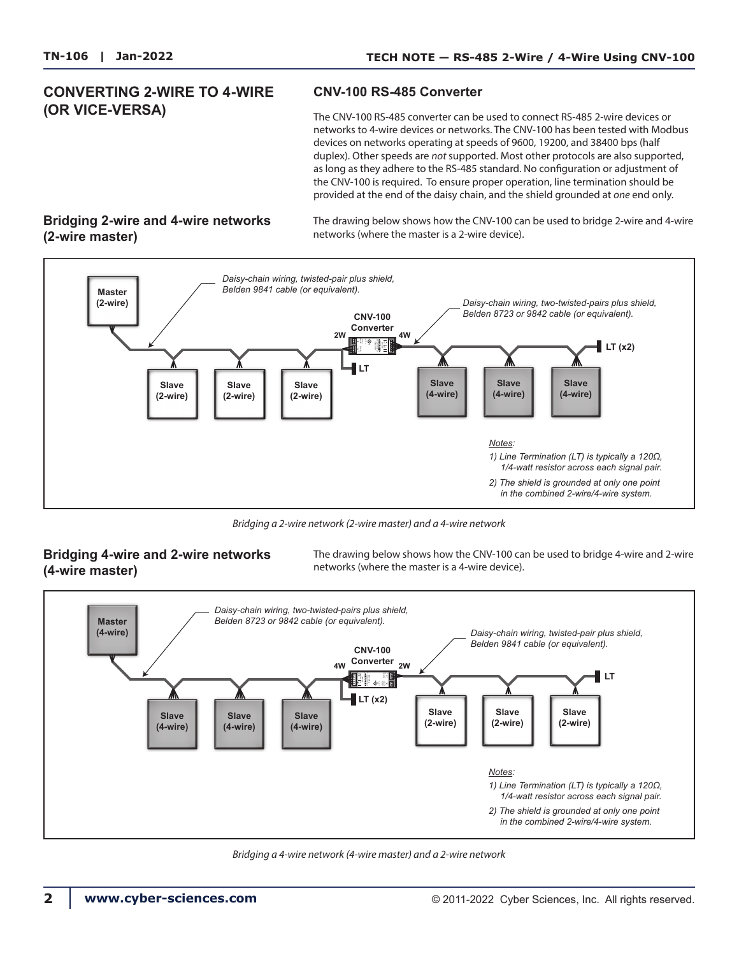## **CONVERTING 2-WIRE TO 4-WIRE (OR VICE-VERSA)**

#### **CNV-100 RS-485 Converter**

The CNV-100 RS-485 converter can be used to connect RS-485 2-wire devices or networks to 4-wire devices or networks. The CNV-100 has been tested with Modbus devices on networks operating at speeds of 9600, 19200, and 38400 bps (half duplex). Other speeds are *not* supported. Most other protocols are also supported, as long as they adhere to the RS-485 standard. No configuration or adjustment of the CNV-100 is required. To ensure proper operation, line termination should be provided at the end of the daisy chain, and the shield grounded at *one* end only.

### **Bridging 2-wire and 4-wire networks (2-wire master)**

The drawing below shows how the CNV-100 can be used to bridge 2-wire and 4-wire networks (where the master is a 2-wire device).



*Bridging a 2-wire network (2-wire master) and a 4-wire network*

#### **Bridging 4-wire and 2-wire networks (4-wire master)**

The drawing below shows how the CNV-100 can be used to bridge 4-wire and 2-wire networks (where the master is a 4-wire device).



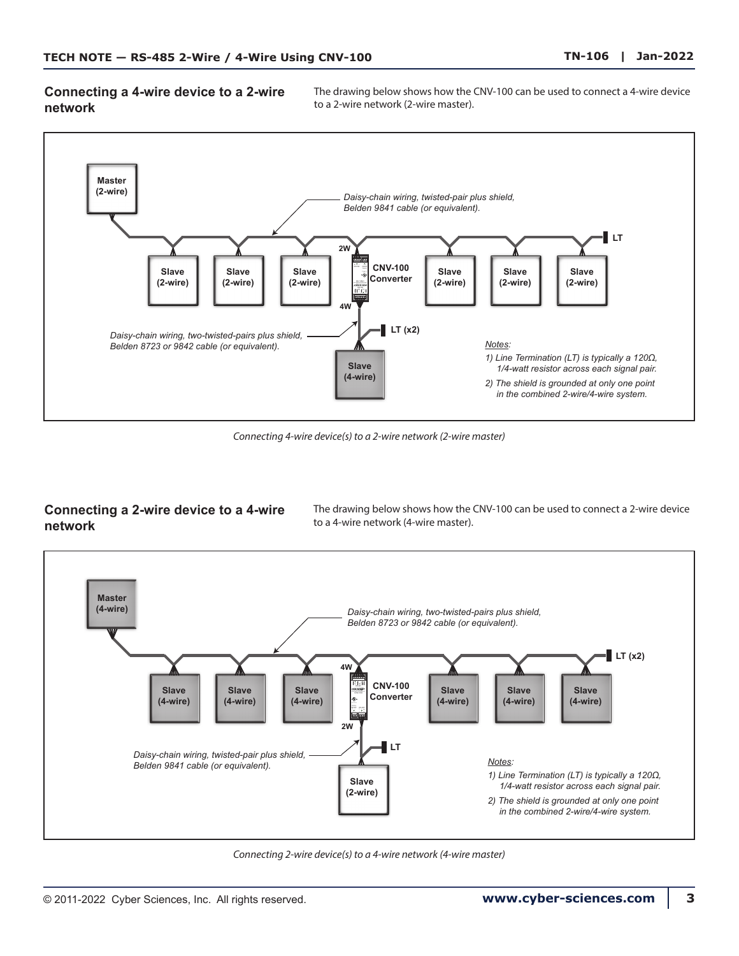**Connecting a 4-wire device to a 2-wire network**

The drawing below shows how the CNV-100 can be used to connect a 4-wire device to a 2-wire network (2-wire master).



*Connecting 4-wire device(s) to a 2-wire network (2-wire master)*

## **Connecting a 2-wire device to a 4-wire network**

The drawing below shows how the CNV-100 can be used to connect a 2-wire device to a 4-wire network (4-wire master).



*Connecting 2-wire device(s) to a 4-wire network (4-wire master)*